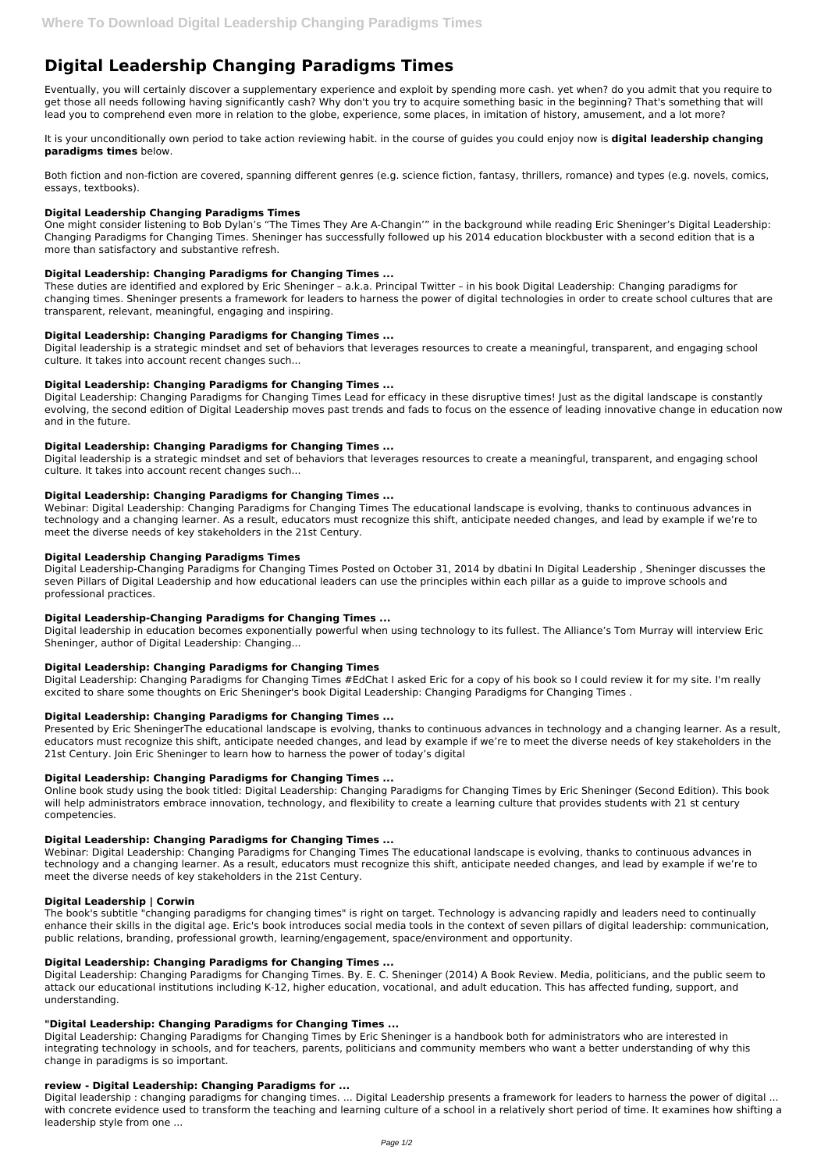# **Digital Leadership Changing Paradigms Times**

Eventually, you will certainly discover a supplementary experience and exploit by spending more cash. yet when? do you admit that you require to get those all needs following having significantly cash? Why don't you try to acquire something basic in the beginning? That's something that will lead you to comprehend even more in relation to the globe, experience, some places, in imitation of history, amusement, and a lot more?

It is your unconditionally own period to take action reviewing habit. in the course of guides you could enjoy now is **digital leadership changing paradigms times** below.

Both fiction and non-fiction are covered, spanning different genres (e.g. science fiction, fantasy, thrillers, romance) and types (e.g. novels, comics, essays, textbooks).

# **Digital Leadership Changing Paradigms Times**

One might consider listening to Bob Dylan's "The Times They Are A-Changin'" in the background while reading Eric Sheninger's Digital Leadership: Changing Paradigms for Changing Times. Sheninger has successfully followed up his 2014 education blockbuster with a second edition that is a more than satisfactory and substantive refresh.

# **Digital Leadership: Changing Paradigms for Changing Times ...**

These duties are identified and explored by Eric Sheninger – a.k.a. Principal Twitter – in his book Digital Leadership: Changing paradigms for changing times. Sheninger presents a framework for leaders to harness the power of digital technologies in order to create school cultures that are transparent, relevant, meaningful, engaging and inspiring.

# **Digital Leadership: Changing Paradigms for Changing Times ...**

Digital leadership is a strategic mindset and set of behaviors that leverages resources to create a meaningful, transparent, and engaging school culture. It takes into account recent changes such...

# **Digital Leadership: Changing Paradigms for Changing Times ...**

Digital Leadership: Changing Paradigms for Changing Times Lead for efficacy in these disruptive times! Just as the digital landscape is constantly evolving, the second edition of Digital Leadership moves past trends and fads to focus on the essence of leading innovative change in education now and in the future.

## **Digital Leadership: Changing Paradigms for Changing Times ...**

Digital leadership is a strategic mindset and set of behaviors that leverages resources to create a meaningful, transparent, and engaging school culture. It takes into account recent changes such...

# **Digital Leadership: Changing Paradigms for Changing Times ...**

Webinar: Digital Leadership: Changing Paradigms for Changing Times The educational landscape is evolving, thanks to continuous advances in technology and a changing learner. As a result, educators must recognize this shift, anticipate needed changes, and lead by example if we're to meet the diverse needs of key stakeholders in the 21st Century.

### **Digital Leadership Changing Paradigms Times**

Digital Leadership-Changing Paradigms for Changing Times Posted on October 31, 2014 by dbatini In Digital Leadership , Sheninger discusses the seven Pillars of Digital Leadership and how educational leaders can use the principles within each pillar as a guide to improve schools and professional practices.

Digital leadership: changing paradigms for changing times. ... Digital Leadership presents a framework for leaders to harness the power of digital ... with concrete evidence used to transform the teaching and learning culture of a school in a relatively short period of time. It examines how shifting a leadership style from one ...

### **Digital Leadership-Changing Paradigms for Changing Times ...**

Digital leadership in education becomes exponentially powerful when using technology to its fullest. The Alliance's Tom Murray will interview Eric Sheninger, author of Digital Leadership: Changing...

# **Digital Leadership: Changing Paradigms for Changing Times**

Digital Leadership: Changing Paradigms for Changing Times #EdChat I asked Eric for a copy of his book so I could review it for my site. I'm really excited to share some thoughts on Eric Sheninger's book Digital Leadership: Changing Paradigms for Changing Times .

# **Digital Leadership: Changing Paradigms for Changing Times ...**

Presented by Eric SheningerThe educational landscape is evolving, thanks to continuous advances in technology and a changing learner. As a result, educators must recognize this shift, anticipate needed changes, and lead by example if we're to meet the diverse needs of key stakeholders in the 21st Century. Join Eric Sheninger to learn how to harness the power of today's digital

# **Digital Leadership: Changing Paradigms for Changing Times ...**

Online book study using the book titled: Digital Leadership: Changing Paradigms for Changing Times by Eric Sheninger (Second Edition). This book will help administrators embrace innovation, technology, and flexibility to create a learning culture that provides students with 21 st century competencies.

### **Digital Leadership: Changing Paradigms for Changing Times ...**

Webinar: Digital Leadership: Changing Paradigms for Changing Times The educational landscape is evolving, thanks to continuous advances in technology and a changing learner. As a result, educators must recognize this shift, anticipate needed changes, and lead by example if we're to meet the diverse needs of key stakeholders in the 21st Century.

## **Digital Leadership | Corwin**

The book's subtitle "changing paradigms for changing times" is right on target. Technology is advancing rapidly and leaders need to continually enhance their skills in the digital age. Eric's book introduces social media tools in the context of seven pillars of digital leadership: communication, public relations, branding, professional growth, learning/engagement, space/environment and opportunity.

#### **Digital Leadership: Changing Paradigms for Changing Times ...**

Digital Leadership: Changing Paradigms for Changing Times. By. E. C. Sheninger (2014) A Book Review. Media, politicians, and the public seem to attack our educational institutions including K-12, higher education, vocational, and adult education. This has affected funding, support, and understanding.

#### **"Digital Leadership: Changing Paradigms for Changing Times ...**

Digital Leadership: Changing Paradigms for Changing Times by Eric Sheninger is a handbook both for administrators who are interested in integrating technology in schools, and for teachers, parents, politicians and community members who want a better understanding of why this change in paradigms is so important.

#### **review - Digital Leadership: Changing Paradigms for ...**